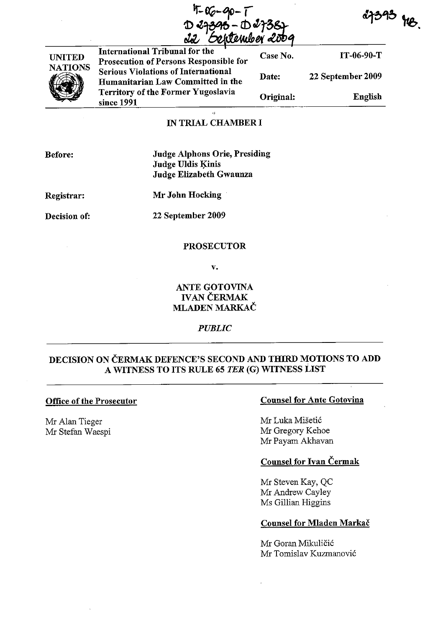

International Tribunal for the Prosecution of Persons Responsible for Serious Violations of International Humanitarian Law Committed in the Territory of the Former Yugoslavia since 1991 Case No. 1T-06-90-T Date: 22 September 2009 Original: English

#### " IN TRIAL CHAMBER I

Judge Alphons Orie, Presiding Judge Uldis Kinis Judge Elizabeth Gwaunza

Registrar:

Mr John Hocking

Decision of:

22 September 2009

## PROSECUTOR

v.

## ANTE GOTOVINA **IVAN ČERMAK** MLADEN MARKAC

*PUBLIC* 

# DECISION ON ČERMAK DEFENCE'S SECOND AND THIRD MOTIONS TO ADD A WITNESS TO ITS RULE 65 *TER* (G) WITNESS LIST

#### Office of the Prosecutor

Mr Alan Tieger Mr Stefan Waespi

## Counsel for Ante Gotovina

Mr Luka Mišetić Mr Gregory Kehoe Mr Payam Akhavan

## Counsel for Ivan Cermak

Mr Steven Kay, QC Mr Andrew Cayley Ms Gillian Higgins

## Counsel for Mladen Markač

Mr Goran Mikuličić Mr Tomislav Kuzmanovi6

Before: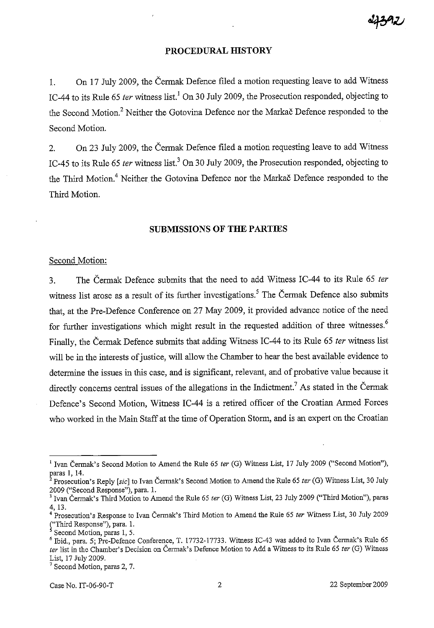#### **PROCEDURAL HISTORY**

I. On 17 July 2009, the Cermak Defence filed a motion requesting leave to add Witness IC-44 to its Rule 65 *ter* witness list.<sup>1</sup> On 30 July 2009, the Prosecution responded, objecting to the Second Motion? Neither the Gotovina Defence nor the Markac Defence responded to the Second Motion.

2. On 23 July 2009, the Cermak Defence filed a motion requesting leave to add Witness IC-45 to its Rule 65 *ter* witness list.<sup>3</sup> On 30 July 2009, the Prosecution responded, objecting to the Third Motion.4 Neither the Gotovina Defence nor the Markac Defence responded to the Third Motion.

#### **SUBMISSIONS OF THE PARTIES**

#### Second Motion:

3. The Čermak Defence submits that the need to add Witness IC-44 to its Rule 65 ter witness list arose as a result of its further investigations.<sup>5</sup> The Cermak Defence also submits that, at the Pre-Defence Conference on 27 May 2009, it provided advance notice of the need for further investigations which might result in the requested addition of three witnesses.<sup>6</sup> Finally, the Čermak Defence submits that adding Witness IC-44 to its Rule 65 *ter* witness list will be in the interests of justice, will allow the Chamber to hear the best available evidence to determine the issues in this case, and is significant, relevant, and of probative value because it directly concerns central issues of the allegations in the Indictment.<sup>7</sup> As stated in the Cermak Defence's Second Motion, Witness IC-44 is a retired officer of the Croatian Armed Forces who worked in the Main Staff at the time of Operation Storm, and is an expert on the Croatian

<sup>&</sup>lt;sup>1</sup> Ivan Čermak's Second Motion to Amend the Rule 65 *ter* (G) Witness List, 17 July 2009 ("Second Motion"), paras I, 14.

Prosecution's Reply *[sic]* to Ivan Čermak's Second Motion to Amend the Rule 65 *ter* (G) Witness List, 30 July 2009 ("Second Response"), para. 1.

<sup>3</sup> Ivan Cermak's Third Motion to Amend the Rule 65 *ter* (G) Witness List, 23 July 2009 ("Third Motion"), paras 4,13.

<sup>4</sup> Prosecution's Response to Ivan Cermak's Third Motion to Amend the Rule 65 *ter* Witness List, 30 July 2009 ("Third Response"), para. 1.

Second Motion, paras 1, 5.

<sup>&</sup>lt;sup>6</sup> Ibid., para. 5; Pre-Defence Conference, T. 17732-17733. Witness IC-43 was added to Ivan Čermak's Rule 65 *ter* list in the Chamber's Decision on Cermak's Defence Motion to Add a Witness to its Rule 65 *ter* (G) Witness List, 17 July 2009.

 $7$  Second Motion, paras 2, 7.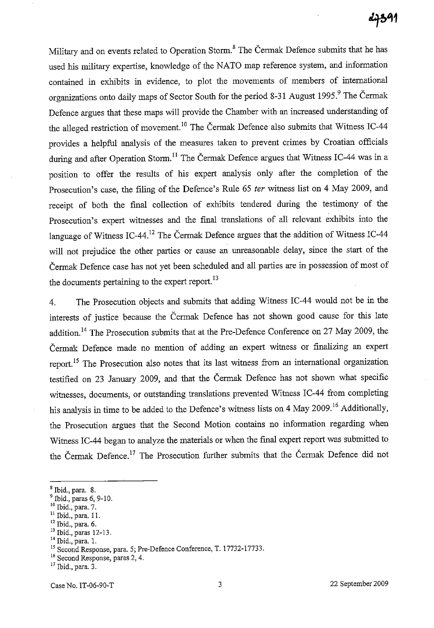Military and on events related to Operation Storm.8 The Cermak Defence submits that he has used his military expertise, knowledge of the NATO map reference system, and information contained in exhibits in evidence, to plot the movements of members of international organizations onto daily maps of Sector South for the period 8-31 August 1995.<sup>9</sup> The Čermak Defence argues that these maps will provide the Chamber with an increased understanding of the alleged restriction of movement.<sup>10</sup> The Čermak Defence also submits that Witness IC-44 provides a helpful analysis of the measures taken to prevent crimes by Croatian officials during and after Operation Storm.<sup>11</sup> The Čermak Defence argues that Witness IC-44 was in a position to offer the results of his expert analysis only after the completion of the Prosecution's case, the filing of the Defence's Rule 65 *ter* witness list on 4 May 2009, and receipt of both the final collection of exhibits tendered during the testimony of the Prosecution's expert witnesses and the final translations of all relevant exhibits into the language of Witness IC-44.<sup>12</sup> The Čermak Defence argues that the addition of Witness IC-44 will not prejudice the other parties or cause an unreasonable delay, since the start of the Cermak Defence case has not yet been scheduled and all parties are in possession of most of the documents pertaining to the expert report.<sup>13</sup>

4. The Prosecution objects and submits that adding Witness IC-44 would not be in the interests of justice because the Cermak Defence has not shown good cause for this late addition.<sup>14</sup> The Prosecution submits that at the Pre-Defence Conference on 27 May 2009, the Cermak Defence made no mention of adding an expert witness or finalizing an expert report.<sup>15</sup> The Prosecution also notes that its last witness from an international organization testified on 23 January 2009, and that the Cermak Defence has not shown what specific witnesses, documents, or outstanding translations. prevented Witness IC-44 from completing his analysis in time to be added to the Defence's witness lists on 4 May 2009.<sup>16</sup> Additionally, the Prosecution argues that the Second Motion contains no information regarding when Witness IC-44 began to analyze the materials or when the final expert report was submitted to the Čermak Defence.<sup>17</sup> The Prosecution further submits that the Čermak Defence did not

11 Ibid., para. 11.

 $8$  Ibid., para.  $8$ .

 $9$  Ibid., paras 6, 9-10.

 $10$  Ibid., para. 7.

 $12$  Ibid., para. 6.

<sup>&</sup>lt;sup>13</sup> Ibid., paras 12-13.

**<sup>14</sup> Ibid., para. l.** 

<sup>&</sup>lt;sup>15</sup> Second Response, para. 5; Pre-Defence Conference, T. 17732-17733.

<sup>&</sup>lt;sup>16</sup> Second Response, paras 2, 4.

<sup>&</sup>lt;sup>17</sup> Ibid., para. 3.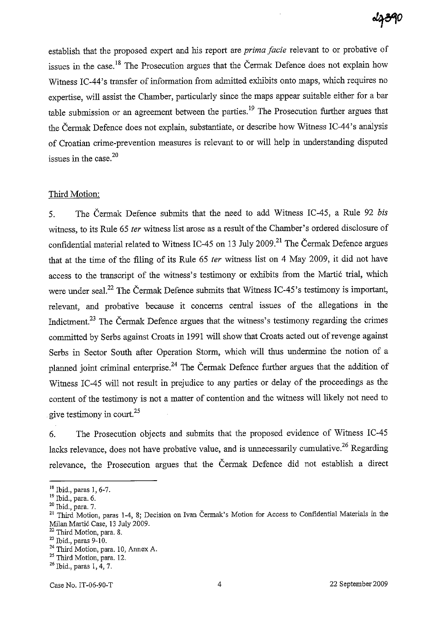establish that the proposed expert and his report are *prima facie* relevant to or probative of ssues in the case.<sup>18</sup> The Prosecution argues that the Čermak Defence does not explain how Witness IC-44's transfer of information from admitted exhibits onto maps, which requires no expertise, will assist the Chamber, particularly since the maps appear suitable either for a bar table submission or an agreement between the parties.<sup>19</sup> The Prosecution further argues that the Cermak Defence does not explain, substantiate, or describe how Witness IC-44's analysis of Croatian crime-prevention measures is relevant to or will help in understanding disputed issues in the case. $20$ 

## Third Motion:

5. The Cermak Defence submits that the need to add Witness IC-45, a Rule 92 *bis*  witness, to its Rule 65 *ter* witness list arose as a result of the Chamber's ordered disclosure of confidential material related to Witness IC-45 on 13 July 2009.<sup>21</sup> The Čermak Defence argues that at the time of the filing of its Rule 65 fer witness list on 4 May 2009, it did not have access to the transcript of the witness's testimony or exhibits from the Martie trial, which were under seal.<sup>22</sup> The Čermak Defence submits that Witness IC-45's testimony is important, relevant, and probative because it concerns central issues of the allegations in the Indictment.<sup>23</sup> The Cermak Defence argues that the witness's testimony regarding the crimes committed by Serbs against Croats in 1991 will show that Croats acted out of revenge against Serbs in Sector South after Operation Storm, which will thus undermine the notion of a planned joint criminal enterprise.<sup>24</sup> The Čermak Defence further argues that the addition of Witness IC-45 will not result in prejudice to any parties or delay of the proceedings as the content of the testimony is not a matter of contention and the witness will likely not need to give testimony in court. $^{25}$ 

6. The Prosecution objects and submits that the proposed evidence of Witness IC-45 lacks relevance, does not have probative value, and is unnecessarily cumulative.<sup>26</sup> Regarding relevance, the Prosecution argues that the Cermak Defence did not establish a direct

 $18$  Ibid., paras 1, 6-7.

<sup>19</sup> Ibid., para. 6.

 $20$  Ibid., para. 7.

<sup>&</sup>lt;sup>21</sup> Third Motion, paras 1-4, 8; Decision on Ivan Čermak's Motion for Access to Confidential Materials in the Milan Marti6 Case, 13 July 2009.

<sup>&</sup>lt;sup>22</sup> Third Motion, para. 8.

<sup>23</sup> Ibid., paras 9-10.

<sup>&</sup>lt;sup>24</sup> Third Motion, para. 10, Annex A.

 $25$  Third Motion, para. 12.

**<sup>26</sup> Ibid., paras 1,4,7.**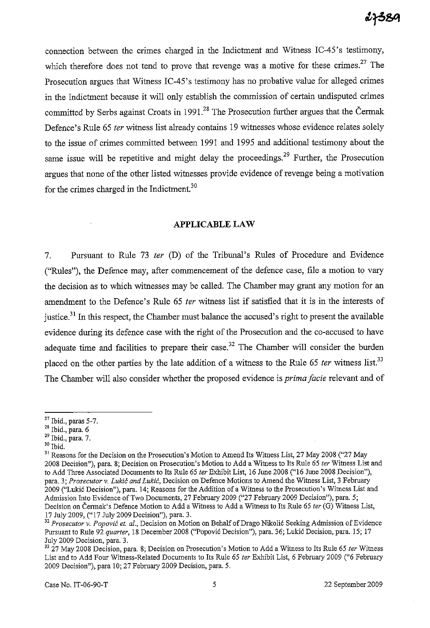connection between the crimes charged in the Indictment and Witness IC-45's testimony, which therefore does not tend to prove that revenge was a motive for these crimes. $27$  The Prosecution argues that Witness IC-45's testimony has no probative value for alleged crimes in the Indictment because it will only establish the commission of certain undisputed crimes committed by Serbs against Croats in 1991.<sup>28</sup> The Prosecution further argues that the Čermak Defence's Rule 65 *ter* witness list already contains 19 witnesses whose evidence relates solely to the issue of crimes committed between 1991 and 1995 and additional testimony about the same issue will be repetitive and might delay the proceedings.<sup>29</sup> Further, the Prosecution argues that none of the other listed witnesses provide evidence of revenge being a motivation for the crimes charged in the Indictment.3o

#### **APPLICABLE LAW**

7. Pursuant to Ru1e 73 *ter* (D) of the Tribunal's Ru1es of Procedure and Evidence ("Rules"), the Defence may, after commencement of the defence case, file a motion to vary the decision as to which witnesses may be called. The Chamber may grant any motion for an amendment to the Defence's Ru1e 65 *ter* witness list if satisfied that it is in the interests of justice.<sup>31</sup> In this respect, the Chamber must balance the accused's right to present the available evidence during its defence case with the right of the Prosecution and the co-accused to have adequate time and facilities to prepare their case.<sup>32</sup> The Chamber will consider the burden placed on the other parties by the late addition of a witness to the Rule 65 *ter* witness list.<sup>33</sup> The Chamber will also consider whether the proposed evidence is *prima facie* relevant and of

 $^{\rm 30}$  Ibid.

<sup>31</sup> Reasons for the Decision on the Prosecution's Motion to Amend Its Witness List, 27 May 2008 ("27 May 2008 Decision"), para. 8; Decision on Prosecution's Motion to Add a Witness to Its Rule 65 *ter* Witness List and to Add Three Associated Documents to Its Rule 65 *ter* Exhibit List, 16 June 2008 ("16 June 2008 Decision"), para. 3; *Prosecutor* v. *Lukic and Lukic,* Decision on Defence Motions to Amend the Witness List, 3 February 2009 ("Lukic Decision"), para. 14; Reasons for the Addition of a Witness to the Prosecution's Witness List and Admission Into Evidence of Two Documents, 27 February 2009 ("27 February 2009 Decision"), para. 5; Decision on Cermak's Defence Motion to Add a Witness to Add a Witness to Its Rule 65 *ter* (G) Witness List, 17 July 2009, ("17 July 2009 Decision"), para. 3.

 $27$  Ibid., paras 5-7.

<sup>28</sup> Ibid., para. 6

<sup>29</sup> Ibid., para. 7.

<sup>32</sup>*Prosecutor* v. *Popovic et. al.,* Decision on Motion on Behalf of Drago Nikolic Seeking Admission of Evidence Pursuant to Rule 92 *quarter,* 18 December 2008 ("Popovic Decision"), para. 36; Lukic Decision, para. 15; 17 July 2009 Decision, para. 3.

<sup>33 27</sup> May 2008 Decision, para. 8; Decision on Prosecution's Motion to Add a Witness to Its Rule 65 *ter* Witness List and to Add Four Witness-Related Documents to Its Rule 65 *ter* Exhibit List, 6 February 2009 ("6 February 2009 Decision"), para 10; 27 February 2009 Decision, para. 5.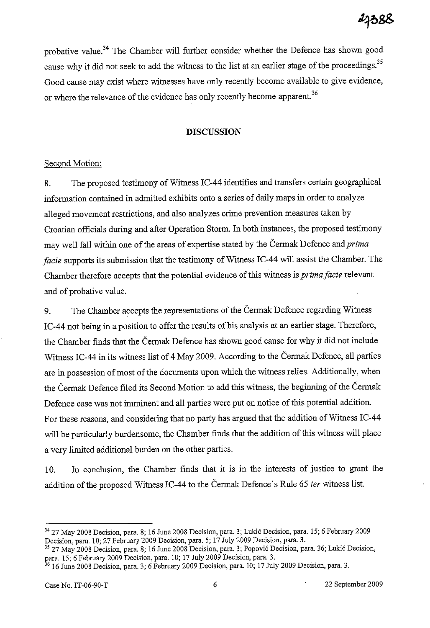probative value.34 The Chamber will further consider whether the Defence has shown good cause why it did not seek to add the witness to the list at an earlier stage of the proceedings.<sup>35</sup> Good cause may exist where witnesses have only recently become available to give evidence, or where the relevance of the evidence has only recently become apparent.<sup>36</sup>

### **DISCUSSION**

#### Second Motion:

8. The proposed testimony of Witness IC-44 identifies and transfers certain geographical information contained in admitted exhibits onto a series of daily maps in order to analyze alleged movement restrictions, and also analyzes crime prevention measures taken by Croatian officials during and after Operation Storm. **In** both instances, the proposed testimony may well fall within one of the areas of expertise stated by the Cermak Defence and *prima facie* supports its submission that the testimony of Witness IC-44 will assist the Chamber. The Chamber therefore accepts that the potential evidence of this witness is *prima facie* relevant and of probative value.

9. The Chamber accepts the representations of the Cermak Defence regarding Witness IC-44 not being in a position to offer the results of his analysis at an earlier stage. Therefore, the Chamber finds that the Cermak Defence has shown good cause for why it did not include Witness IC-44 in its witness list of 4 May 2009. According to the Cermak Defence, all parties are in possession of most of the documents upon which the witness relies. Additionally, when the Cermak Defence filed its Second Motion to add this witness, the beginning of the Cermak Defence case was not imminent and all parties were put on notice of this potential addition. For these reasons, and considering that no party has argued that the addition of Witness IC-44 will be particularly burdensome, the Chamber finds that the addition of this witness will place a very limited additional burden on the other parties.

10. In conclusion, the Chamber finds that it is in the interests of justice to grant the addition of the proposed Witness IC-44 to the Cermak Defence's Rule 65 *ter* witness list.

<sup>34</sup> 27 May 2008 Decision, para. 8; 16 June 2008 Decision, para. 3; Lukic Decision, para. 15; 6 February 2009 Decision, para. 10; 27 February 2009 Decision, para. 5; 17 Jnly 2009 Decision, para. 3.

<sup>35 27</sup> May 2008 Decision, para. 8; 16 June 2008 Decision, para. 3; Popovic Decision, para. 36; Lukic Decision,

para. 15; 6 February 2009 Decision, para. 10; 17 Jnly 2009 Decision, para. 3. <sup>36</sup> 16 June 2008 Decision, para. 3; 6 February 2009 Decision, para. 10; 17 July 2009 Decision, para. 3.